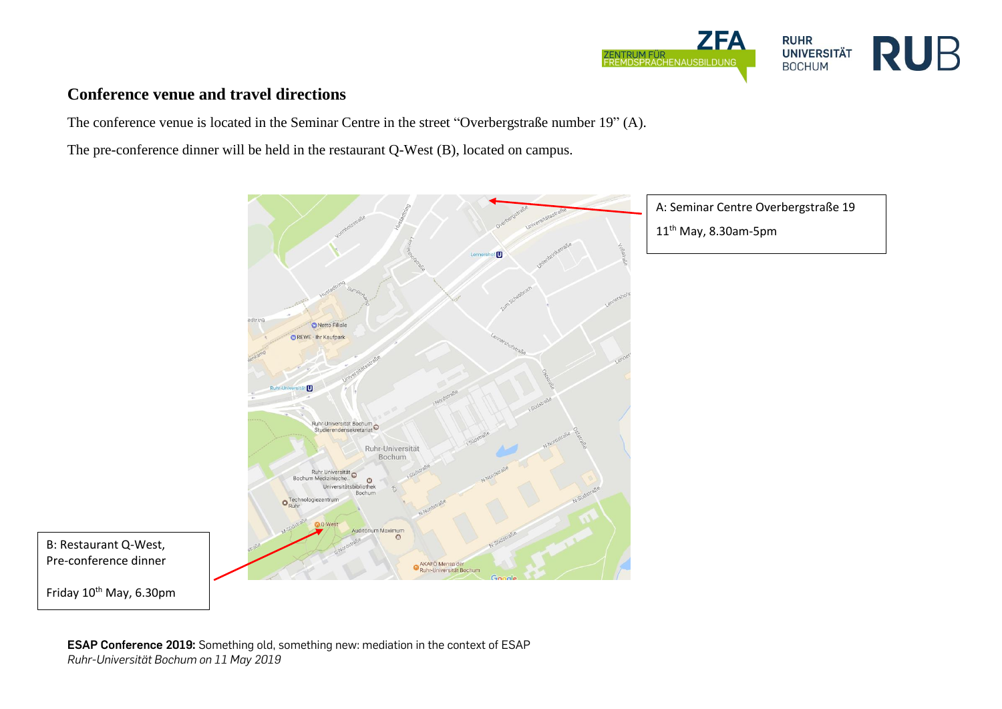

## **Conference venue and travel directions**

The conference venue is located in the Seminar Centre in the street "Overbergstraße number 19" (A).

The pre-conference dinner will be held in the restaurant Q-West (B), located on campus.



**ESAP Conference 2019:** Something old, something new: mediation in the context of ESAP *Ruhr-Universität Bochum on 11 May 2019*